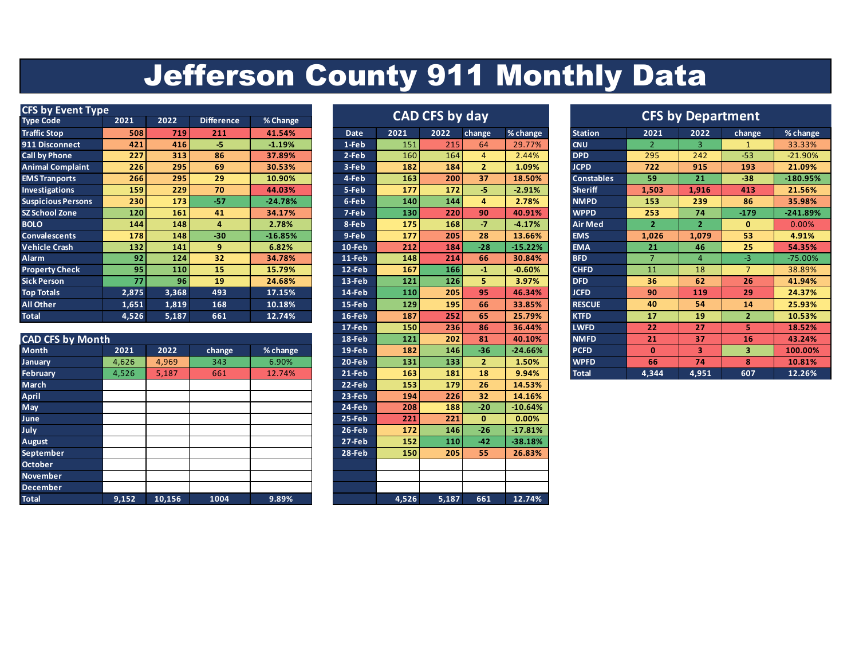## Jefferson County 911 Monthly Data

| <b>CFS by Event Type</b>  |                 |            |                   | <b>CAD CFS by day</b> |           |      |      |                | <b>CFS by Department</b> |                   |       |       |        |            |
|---------------------------|-----------------|------------|-------------------|-----------------------|-----------|------|------|----------------|--------------------------|-------------------|-------|-------|--------|------------|
| <b>Type Code</b>          | 2021            | 2022       | <b>Difference</b> | % Change              |           |      |      |                |                          |                   |       |       |        |            |
| <b>Traffic Stop</b>       | 508             | 719        | 211               | 41.54%                | Date      | 2021 | 2022 | change         | % change                 | <b>Station</b>    | 2021  | 2022  | change | % change   |
| 911 Disconnect            | 421             | 416        | -5                | $-1.19%$              | 1-Feb     | 151  | 215  | 64             | 29.77%                   | <b>CNU</b>        |       | 3     |        | 33.33%     |
| <b>Call by Phone</b>      | 227             | 313        | 86                | 37.89%                | 2-Feb     | 160  | 164  | 4              | 2.44%                    | <b>DPD</b>        | 295   | 242   | $-53$  | $-21.90%$  |
| <b>Animal Complaint</b>   | 226             | 295        | 69                | 30.53%                | 3-Feb     | 182  | 184  | $\overline{2}$ | 1.09%                    | <b>JCPD</b>       | 722   | 915   | 193    | 21.09%     |
| <b>EMS Tranports</b>      | 266             | 295        | 29                | 10.90%                | 4-Feb     | 163  | 200  | 37             | 18.50%                   | <b>Constables</b> | 59    | 21    | $-38$  | $-180.95%$ |
| <b>Investigations</b>     | 159             | 229        | 70                | 44.03%                | 5-Feb     | 177  | 172  | -5.            | $-2.91%$                 | <b>Sheriff</b>    | 1,503 | 1,916 | 413    | 21.56%     |
| <b>Suspicious Persons</b> | 230             | 173        | $-57$             | $-24.78%$             | 6-Feb     | 140  | 144  | 4              | 2.78%                    | <b>NMPD</b>       | 153   | 239   | 86     | 35.98%     |
| <b>SZ School Zone</b>     | 120             | 161        | 41                | 34.17%                | 7-Feb     | 130  | 220  | 90             | 40.91%                   | <b>WPPD</b>       | 253   | 74    | $-179$ | $-241.89%$ |
| <b>BOLO</b>               | 144             | 148        | 4                 | 2.78%                 | 8-Feb     | 175  | 168  | $-7$           | $-4.17%$                 | Air Med           |       | 2     | 0      | 0.00%      |
| <b>Convalescents</b>      | 178             | <b>148</b> | $-30$             | $-16.85%$             | 9-Feb     | 177  | 205  | 28             | 13.66%                   | <b>EMS</b>        | 1,026 | 1,079 | 53     | 4.91%      |
| <b>Vehicle Crash</b>      | 132             | 141        | 9                 | 6.82%                 | 10-Feb    | 212  | 184  | $-28$          | $-15.22%$                | <b>EMA</b>        | 21    | 46    | 25     | 54.35%     |
| Alarm                     | 92              | 124        | 32                | 34.78%                | 11-Feb    | 148  | 214  | 66             | 30.84%                   | <b>BFD</b>        |       | д     | -3.    | $-75.00%$  |
| <b>Property Check</b>     | 95 <sub>1</sub> | 110        | 15                | 15.79%                | 12-Feb    | 167  | 166  | $-1$           | $-0.60%$                 | <b>CHFD</b>       | 11    | 18    |        | 38.89%     |
| <b>Sick Person</b>        | 77              | 96         | 19                | 24.68%                | 13-Feb    | 121  | 126  | 5.             | 3.97%                    | <b>DFD</b>        | 36    | 62    | 26     | 41.94%     |
| <b>Top Totals</b>         | 2,875           | 3,368      | 493               | 17.15%                | 14-Feb    | 110  | 205  | 95             | 46.34%                   | <b>JCFD</b>       | 90    | 119   | 29     | 24.37%     |
| All Other                 | 1,651           | 1,819      | 168               | 10.18%                | 15-Feb    | 129  | 195  | 66             | 33.85%                   | <b>RESCUE</b>     | 40    | 54    | 14     | 25.93%     |
| <b>Total</b>              | 4,526           | 5,187      | 661               | 12.74%                | $16$ -Feb | 187  | 252  | 65             | 25.79%                   | <b>KTFD</b>       | 17    | 19    |        | 10.53%     |

|                         |       |        |        |          | ---      | ---   |       |              | ------    |              |              |       |     | ------- |
|-------------------------|-------|--------|--------|----------|----------|-------|-------|--------------|-----------|--------------|--------------|-------|-----|---------|
| <b>CAD CFS by Month</b> |       |        |        |          | 18-Feb   | 121   | 202   | 81           | 40.10%    | <b>NMFD</b>  | $21^{\circ}$ | 37    | 16  | 43.24%  |
| <b>Month</b>            | 2021  | 2022   | change | % change | 19-Feb   | 182   | 146   | $-36$        | $-24.66%$ | <b>PCFD</b>  | $\bf{0}$     | 3     | 3   | 100.00% |
| <b>January</b>          | 4,626 | 4,969  | 343    | 6.90%    | 20-Feb   | 131   | 133   |              | 1.50%     | <b>WPFD</b>  | 66           | 74    | 8   | 10.81%  |
| <b>February</b>         | 4,526 | 5,187  | 661    | 12.74%   | $21-Feb$ | 163   | 181   | 18           | 9.94%     | <b>Total</b> | 4,344        | 4,951 | 607 | 12.26%  |
| March                   |       |        |        |          | 22-Feb   | 153   | 179   | 26           | 14.53%    |              |              |       |     |         |
| April                   |       |        |        |          | 23-Feb   | 194   | 226   | 32           | 14.16%    |              |              |       |     |         |
| May                     |       |        |        |          | 24-Feb   | 208   | 188   | $-20$        | $-10.64%$ |              |              |       |     |         |
| June                    |       |        |        |          | 25-Feb   | 221   | 221   | $\mathbf{0}$ | 0.00%     |              |              |       |     |         |
| July                    |       |        |        |          | 26-Feb   | 172   | 146   | $-26$        | $-17.81%$ |              |              |       |     |         |
| <b>August</b>           |       |        |        |          | $27-Feb$ | 152   | 110   | $-42$        | $-38.18%$ |              |              |       |     |         |
| September               |       |        |        |          | 28-Feb   | 150   | 205   | 55           | 26.83%    |              |              |       |     |         |
| <b>October</b>          |       |        |        |          |          |       |       |              |           |              |              |       |     |         |
| <b>November</b>         |       |        |        |          |          |       |       |              |           |              |              |       |     |         |
| <b>December</b>         |       |        |        |          |          |       |       |              |           |              |              |       |     |         |
| <b>Total</b>            | 9,152 | 10,156 | 1004   | 9.89%    |          | 4,526 | 5,187 | 661          | 12.74%    |              |              |       |     |         |

| CAD CFS by day |       |       |                |           |  |  |  |  |  |  |  |  |
|----------------|-------|-------|----------------|-----------|--|--|--|--|--|--|--|--|
| <b>Date</b>    | 2021  | 2022  | change         | % change  |  |  |  |  |  |  |  |  |
| 1-Feb          | 151   | 215   | 64             | 29.77%    |  |  |  |  |  |  |  |  |
| 2-Feb          | 160   | 164   | 4              | 2.44%     |  |  |  |  |  |  |  |  |
| 3-Feb          | 182   | 184   | $\overline{2}$ | 1.09%     |  |  |  |  |  |  |  |  |
| 4-Feb          | 163   | 200   | 37             | 18.50%    |  |  |  |  |  |  |  |  |
| 5-Feb          | 177   | 172   | -5             | $-2.91%$  |  |  |  |  |  |  |  |  |
| 6-Feb          | 140   | 144   | 4              | 2.78%     |  |  |  |  |  |  |  |  |
| 7-Feb          | 130   | 220   | 90             | 40.91%    |  |  |  |  |  |  |  |  |
| 8-Feb          | 175   | 168   | $-7$           | $-4.17%$  |  |  |  |  |  |  |  |  |
| 9-Feb          | 177   | 205   | 28             | 13.66%    |  |  |  |  |  |  |  |  |
| 10-Feb         | 212   | 184   | $-28$          | $-15.22%$ |  |  |  |  |  |  |  |  |
| 11-Feb         | 148   | 214   | 66             | 30.84%    |  |  |  |  |  |  |  |  |
| 12-Feb         | 167   | 166   | $-1$           | $-0.60%$  |  |  |  |  |  |  |  |  |
| 13-Feb         | 121   | 126   | 5              | 3.97%     |  |  |  |  |  |  |  |  |
| 14-Feb         | 110   | 205   | 95             | 46.34%    |  |  |  |  |  |  |  |  |
| 15-Feb         | 129   | 195   | 66             | 33.85%    |  |  |  |  |  |  |  |  |
| 16-Feb         | 187   | 252   | 65             | 25.79%    |  |  |  |  |  |  |  |  |
| 17-Feb         | 150   | 236   | 86             | 36.44%    |  |  |  |  |  |  |  |  |
| 18-Feb         | 121   | 202   | 81             | 40.10%    |  |  |  |  |  |  |  |  |
| 19-Feb         | 182   | 146   | $-36$          | $-24.66%$ |  |  |  |  |  |  |  |  |
| 20-Feb         | 131   | 133   | $\overline{2}$ | 1.50%     |  |  |  |  |  |  |  |  |
| 21-Feb         | 163   | 181   | 18             | 9.94%     |  |  |  |  |  |  |  |  |
| 22-Feb         | 153   | 179   | 26             | 14.53%    |  |  |  |  |  |  |  |  |
| 23-Feb         | 194   | 226   | 32             | 14.16%    |  |  |  |  |  |  |  |  |
| 24-Feb         | 208   | 188   | $-20$          | $-10.64%$ |  |  |  |  |  |  |  |  |
| 25-Feb         | 221   | 221   | 0              | 0.00%     |  |  |  |  |  |  |  |  |
| 26-Feb         | 172   | 146   | $-26$          | $-17.81%$ |  |  |  |  |  |  |  |  |
| 27-Feb         | 152   | 110   | $-42$          | $-38.18%$ |  |  |  |  |  |  |  |  |
| 28-Feb         | 150   | 205   | 55             | 26.83%    |  |  |  |  |  |  |  |  |
|                |       |       |                |           |  |  |  |  |  |  |  |  |
|                |       |       |                |           |  |  |  |  |  |  |  |  |
|                |       |       |                |           |  |  |  |  |  |  |  |  |
|                | 4,526 | 5,187 | 661            | 12.74%    |  |  |  |  |  |  |  |  |

|             |      | <b>CAD CFS by day</b> |                |           |                   |                | <b>CFS by Department</b> |                |  |
|-------------|------|-----------------------|----------------|-----------|-------------------|----------------|--------------------------|----------------|--|
| <b>Date</b> | 2021 | 2022                  | change         | % change  | <b>Station</b>    | 2021           | 2022                     | change         |  |
| 1-Feb       | 151  | 215                   | 64             | 29.77%    | <b>CNU</b>        | $\overline{2}$ | 3                        | 1              |  |
| $2-Feb$     | 160  | 164                   | 4              | 2.44%     | <b>DPD</b>        | 295            | 242                      | $-53$          |  |
| $3-Feb$     | 182  | 184                   | $\overline{2}$ | 1.09%     | <b>JCPD</b>       | 722            | 915                      | 193            |  |
| 4-Feb       | 163  | 200                   | 37             | 18.50%    | <b>Constables</b> | 59             | 21                       | $-38$          |  |
| 5-Feb       | 177  | 172                   | -5             | $-2.91%$  | <b>Sheriff</b>    | 1,503          | 1,916                    | 413            |  |
| 6-Feb       | 140  | 144                   | 4              | 2.78%     | <b>NMPD</b>       | 153            | 239                      | 86             |  |
| 7-Feb       | 130  | 220                   | 90             | 40.91%    | <b>WPPD</b>       | 253            | 74                       | $-179$         |  |
| 8-Feb       | 175  | 168                   | $-7$           | $-4.17%$  | <b>Air Med</b>    | $\overline{2}$ | $\overline{2}$           | $\bf{0}$       |  |
| 9-Feb       | 177  | 205                   | 28             | 13.66%    | <b>EMS</b>        | 1,026          | 1,079                    | 53             |  |
| $10$ -Feb   | 212  | 184                   | $-28$          | $-15.22%$ | <b>EMA</b>        | 21             | 46                       | 25             |  |
| 11-Feb      | 148  | 214                   | 66             | 30.84%    | <b>BFD</b>        | $\overline{7}$ | $\overline{4}$           | $-3$           |  |
| 12-Feb      | 167  | 166                   | $-1$           | $-0.60%$  | <b>CHFD</b>       | 11             | 18                       | $\overline{7}$ |  |
| 13-Feb      | 121  | 126                   | 5              | 3.97%     | <b>DFD</b>        | 36             | 62                       | 26             |  |
| 14-Feb      | 110  | 205                   | 95             | 46.34%    | <b>JCFD</b>       | 90             | 119                      | 29             |  |
| 15-Feb      | 129  | 195                   | 66             | 33.85%    | <b>RESCUE</b>     | 40             | 54                       | 14             |  |
| 16-Feb      | 187  | 252                   | 65             | 25.79%    | <b>KTFD</b>       | 17             | 19                       | $\overline{2}$ |  |
| 17-Feb      | 150  | 236                   | 86             | 36.44%    | <b>LWFD</b>       | 22             | 27                       | 5              |  |
| 18-Feb      | 121  | 202                   | 81             | 40.10%    | <b>NMFD</b>       | 21             | 37                       | 16             |  |
| 19-Feb      | 182  | 146                   | $-36$          | $-24.66%$ | <b>PCFD</b>       | $\bf{0}$       | 3                        | 3              |  |
| 20-Feb      | 131  | 133                   | $\overline{2}$ | 1.50%     | <b>WPFD</b>       | 66             | 74                       | 8              |  |
| 21-Feb      | 163  | 181                   | 18             | 9.94%     | <b>Total</b>      | 4,344          | 4,951                    | 607            |  |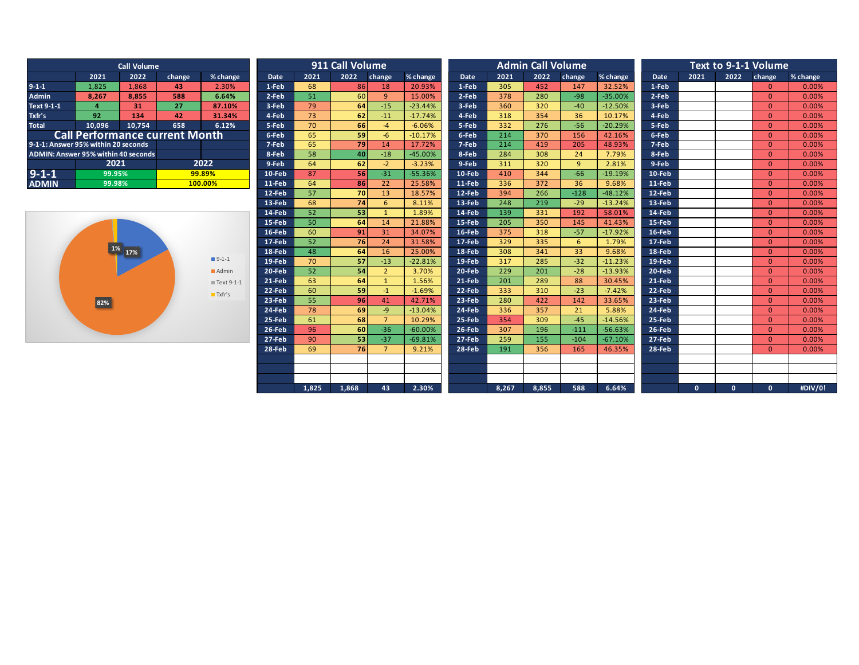| <b>Call Volume</b>                  |                                       |        |         |            |  |  |  |  |  |  |  |
|-------------------------------------|---------------------------------------|--------|---------|------------|--|--|--|--|--|--|--|
|                                     | 2021                                  | 2022   | change  | $%$ change |  |  |  |  |  |  |  |
| $9 - 1 - 1$                         | 1,825                                 | 1,868  | 43      | 2.30%      |  |  |  |  |  |  |  |
| <b>Admin</b>                        | 8,267                                 | 8.855  | 588     | 6.64%      |  |  |  |  |  |  |  |
| Text 9-1-1                          | 4                                     | 31     | 27      | 87.10%     |  |  |  |  |  |  |  |
| Txfr's                              | 92                                    | 134    | 42      | 31.34%     |  |  |  |  |  |  |  |
| <b>Total</b>                        | 10.096                                | 10,754 | 658     | 6.12%      |  |  |  |  |  |  |  |
|                                     | <b>Call Performance current Month</b> |        |         |            |  |  |  |  |  |  |  |
| 9-1-1: Answer 95% within 20 seconds |                                       |        |         |            |  |  |  |  |  |  |  |
| ADMIN: Answer 95% within 40 seconds |                                       |        |         |            |  |  |  |  |  |  |  |
|                                     | 2021                                  | 2022   |         |            |  |  |  |  |  |  |  |
| $9 - 1 - 1$                         | 99.95%                                |        | 99.89%  |            |  |  |  |  |  |  |  |
| <b>ADMIN</b>                        | 99.98%                                |        | 100.00% |            |  |  |  |  |  |  |  |



|                                     |                                       | <b>Call Volume</b> |        |                       |             |       | 911 Call Volume |                |           |          |                  | <b>Admin Call Volume</b> |        |           |          |          |              | Text to 9-1-1 Volume |          |
|-------------------------------------|---------------------------------------|--------------------|--------|-----------------------|-------------|-------|-----------------|----------------|-----------|----------|------------------|--------------------------|--------|-----------|----------|----------|--------------|----------------------|----------|
|                                     | 2021                                  | 2022               | change | % change              | <b>Date</b> | 2021  | 2022            | change         | % change  | Date     | 2021             | 2022                     | change | % change  | Date     | 2021     | 2022         | change               | % change |
| $9-1-1$                             | 1,825                                 | 1,868              | 43     | 2.30%                 | 1-Feb       | 68    | 86              | 18             | 20.93%    | 1-Feb    | 305              | 452                      | 147    | 32.52%    | 1-Feb    |          |              | $\overline{0}$       | 0.00%    |
| <b>Admin</b>                        | 8.267                                 | 8.855              | 588    | 6.64%                 | 2-Feb       | 51    | 60              | $\mathbf{q}$   | 15.00%    | 2-Feb    | 378              | 280                      | $-98$  | $-35.00%$ | 2-Feb    |          |              | $\overline{0}$       | 0.00%    |
| Text 9-1-1                          | $\overline{a}$                        | 31                 | 27     | 87.10%                | 3-Feb       | 79    | 64              | $-15$          | $-23.44%$ | 3-Feb    | 360              | 320                      | $-40$  | $-12.50%$ | 3-Feb    |          |              | $\overline{0}$       | 0.00%    |
| Txfr's                              | 92                                    | 134                | 42     | 31.34%                | 4-Feb       | 73    | 62              | $-11$          | $-17.74%$ | 4-Feb    | 318              | 354                      | 36     | 10.17%    | 4-Feb    |          |              | $\Omega$             | 0.00%    |
| <b>Total</b>                        | 10,096                                | 10.754             | 658    | 6.12%                 | 5-Feb       | 70    | 66              | $-4$           | $-6.06%$  | 5-Feb    | 332              | 276                      | $-56$  | $-20.29%$ | 5-Feb    |          |              | $\Omega$             | 0.00%    |
|                                     | <b>Call Performance current Month</b> |                    |        |                       | 6-Feb       | 65    | 59              | $-6$           | $-10.17%$ | 6-Feb    | 214              | 370                      | 156    | 42.16%    | 6-Feb    |          |              | $\Omega$             | 0.00%    |
| 9-1-1: Answer 95% within 20 seconds |                                       |                    |        |                       | 7-Feb       | 65    | 79              | 14             | 17.72%    | 7-Feb    | 214              | 419                      | 205    | 48.93%    | 7-Feb    |          |              | $\Omega$             | 0.00%    |
| ADMIN: Answer 95% within 40 seconds |                                       |                    |        |                       | 8-Feb       | 58    | 40              | $-18$          | $-45.00%$ | 8-Feb    | 284              | 308                      | 24     | 7.79%     | 8-Feb    |          |              | $\overline{0}$       | 0.00%    |
|                                     | 2021                                  |                    |        | 2022                  | 9-Feb       | 64    | 62              | $-2$           | $-3.23%$  | 9-Feb    | 311              | 320                      | 9      | 2.81%     | 9-Feb    |          |              | $\overline{0}$       | 0.00%    |
| $9 - 1 - 1$                         | 99.95%                                |                    |        | 99.89%                | 10-Feb      | 87    | 56              | $-31$          | $-55.36%$ | 10-Feb   | 410              | 344                      | $-66$  | $-19.19%$ | 10-Feb   |          |              | $\overline{0}$       | 0.00%    |
| <b>ADMIN</b>                        | 99.98%                                |                    |        | 100.00%               | 11-Feb      | 64    | 86              | 22             | 25.58%    | 11-Feb   | 336              | 372                      | 36     | 9.68%     | 11-Feb   |          |              | $\overline{0}$       | 0.00%    |
|                                     |                                       |                    |        |                       | 12-Feb      | 57    | 70              | 13             | 18.57%    | 12-Feb   | 394              | 266                      | $-128$ | $-48.12%$ | 12-Feb   |          |              | $\overline{0}$       | 0.00%    |
|                                     |                                       |                    |        |                       | 13-Feb      | 68    | 74              | 6              | 8.11%     | 13-Feb   | 248              | 219                      | $-29$  | $-13.24%$ | 13-Feb   |          |              | $\Omega$             | 0.00%    |
|                                     |                                       |                    |        |                       | 14-Feb      | 52    | 53              |                | 1.89%     | 14-Feb   | 139              | 331                      | 192    | 58.01%    | 14-Feb   |          |              | $\Omega$             | 0.00%    |
|                                     |                                       |                    |        |                       | 15-Feb      | 50    | 64              | 14             | 21.88%    | 15-Feb   | 205              | 350                      | 145    | 41.43%    | 15-Feb   |          |              | $\Omega$             | 0.00%    |
|                                     |                                       |                    |        |                       | 16-Feb      | 60    | 91              | 31             | 34.07%    | $16-Feb$ | 375              | 318                      | $-57$  | $-17.92%$ | 16-Feb   |          |              | $\overline{0}$       | 0.00%    |
|                                     |                                       |                    |        |                       | 17-Feb      | 52    | 76              | 24             | 31.58%    | 17-Feb   | 329              | 335                      | 6      | 1.79%     | $17-Feb$ |          |              | $\overline{0}$       | 0.00%    |
|                                     |                                       | 1% 17%             |        |                       | 18-Feb      | 48    | 64              | 16             | 25.00%    | 18-Feb   | 308              | 341                      | 33     | 9.68%     | 18-Feb   |          |              | $\overline{0}$       | 0.00%    |
|                                     |                                       |                    |        | $9-1-1$               | 19-Feb      | 70    | 57              | $-13$          | $-22.81%$ | 19-Feb   | 317              | 285                      | $-32$  | $-11.23%$ | 19-Feb   |          |              | $\Omega$             | 0.00%    |
|                                     |                                       |                    |        | Admin                 | 20-Feb      | 52    | 54              | $\overline{2}$ | 3.70%     | 20-Feb   | $\overline{229}$ | 201                      | $-28$  | $-13.93%$ | 20-Feb   |          |              | $\overline{0}$       | 0.00%    |
|                                     |                                       |                    |        | ■Text 9-1-1           | 21-Feb      | 63    | 64              |                | 1.56%     | 21-Feb   | 201              | 289                      | 88     | 30.45%    | 21-Feb   |          |              | $\overline{0}$       | 0.00%    |
|                                     |                                       |                    |        | $\blacksquare$ Txfr's | 22-Feb      | 60    | 59              | $-1$           | $-1.69%$  | 22-Feb   | 333              | 310                      | $-23$  | $-7.42%$  | 22-Feb   |          |              | $\Omega$             | 0.00%    |
|                                     | 82%                                   |                    |        |                       | 23-Feb      | 55    | 96              | 41             | 42.71%    | 23-Feb   | 280              | 422                      | 142    | 33.65%    | 23-Feb   |          |              | $\Omega$             | 0.00%    |
|                                     |                                       |                    |        |                       | 24-Feb      | 78    | 69              | -9             | $-13.04%$ | 24-Feb   | 336              | 357                      | 21     | 5.88%     | 24-Feb   |          |              | $\overline{0}$       | 0.00%    |
|                                     |                                       |                    |        |                       | 25-Feb      | 61    | 68              |                | 10.29%    | 25-Feb   | 354              | 309                      | $-45$  | $-14.56%$ | 25-Feb   |          |              | $\overline{0}$       | 0.00%    |
|                                     |                                       |                    |        |                       | 26-Feb      | 96    | 60              | $-36$          | $-60.00%$ | 26-Feb   | 307              | 196                      | $-111$ | $-56.63%$ | 26-Feb   |          |              | $\overline{0}$       | 0.00%    |
|                                     |                                       |                    |        |                       | 27-Feb      | 90    | 53              | $-37$          | $-69.81%$ | 27-Feb   | 259              | 155                      | $-104$ | $-67.10%$ | 27-Feb   |          |              | $\overline{0}$       | 0.00%    |
|                                     |                                       |                    |        |                       | 28-Feb      | 69    | 76              | $\overline{7}$ | 9.21%     | 28-Feb   | 191              | 356                      | 165    | 46.35%    | 28-Feb   |          |              | $\Omega$             | 0.00%    |
|                                     |                                       |                    |        |                       |             |       |                 |                |           |          |                  |                          |        |           |          |          |              |                      |          |
|                                     |                                       |                    |        |                       |             |       |                 |                |           |          |                  |                          |        |           |          |          |              |                      |          |
|                                     |                                       |                    |        |                       |             |       |                 | 43             |           |          |                  |                          |        |           |          |          |              |                      | #DIV/0!  |
|                                     |                                       |                    |        |                       |             | 1.825 | 1,868           |                | 2.30%     |          | 8.267            | 8.855                    | 588    | 6.64%     |          | $\Omega$ | $\mathbf{0}$ | $\mathbf{0}$         |          |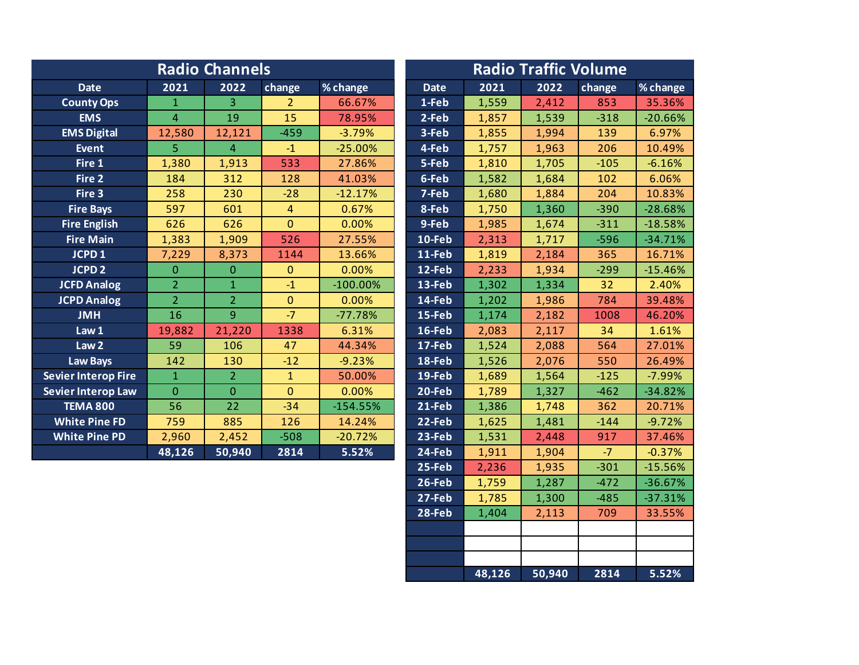|                            |                | <b>Radio Channels</b> |                |             | <b>Radio Traffic Volume</b> |       |       |        |           |  |  |
|----------------------------|----------------|-----------------------|----------------|-------------|-----------------------------|-------|-------|--------|-----------|--|--|
| <b>Date</b>                | 2021           | 2022                  | change         | % change    | <b>Date</b>                 | 2021  | 2022  | change | % change  |  |  |
| <b>County Ops</b>          | $\mathbf{1}$   | 3                     | $\overline{2}$ | 66.67%      | 1-Feb                       | 1,559 | 2,412 | 853    | 35.36%    |  |  |
| <b>EMS</b>                 | $\overline{4}$ | 19                    | 15             | 78.95%      | 2-Feb                       | 1,857 | 1,539 | $-318$ | $-20.66%$ |  |  |
| <b>EMS Digital</b>         | 12,580         | 12,121                | $-459$         | $-3.79%$    | 3-Feb                       | 1,855 | 1,994 | 139    | 6.97%     |  |  |
| <b>Event</b>               | 5.             | $\overline{4}$        | $-1$           | $-25.00%$   | 4-Feb                       | 1,757 | 1,963 | 206    | 10.49%    |  |  |
| Fire 1                     | 1,380          | 1,913                 | 533            | 27.86%      | 5-Feb                       | 1,810 | 1,705 | $-105$ | $-6.16%$  |  |  |
| Fire 2                     | 184            | 312                   | 128            | 41.03%      | 6-Feb                       | 1,582 | 1,684 | 102    | 6.06%     |  |  |
| Fire 3                     | 258            | 230                   | $-28$          | $-12.17%$   | 7-Feb                       | 1,680 | 1,884 | 204    | 10.83%    |  |  |
| <b>Fire Bays</b>           | 597            | 601                   | $\overline{4}$ | 0.67%       | 8-Feb                       | 1,750 | 1,360 | $-390$ | $-28.68%$ |  |  |
| <b>Fire English</b>        | 626            | 626                   | $\mathbf{0}$   | 0.00%       | 9-Feb                       | 1,985 | 1,674 | $-311$ | $-18.58%$ |  |  |
| <b>Fire Main</b>           | 1,383          | 1,909                 | 526            | 27.55%      | 10-Feb                      | 2,313 | 1,717 | $-596$ | $-34.71%$ |  |  |
| JCPD <sub>1</sub>          | 7,229          | 8,373                 | 1144           | 13.66%      | 11-Feb                      | 1,819 | 2,184 | 365    | 16.71%    |  |  |
| <b>JCPD 2</b>              | $\Omega$       | $\mathbf{0}$          | $\mathbf{0}$   | 0.00%       | 12-Feb                      | 2,233 | 1,934 | $-299$ | $-15.46%$ |  |  |
| <b>JCFD Analog</b>         | $\overline{2}$ | $\mathbf{1}$          | $-1$           | $-100.00\%$ | 13-Feb                      | 1,302 | 1,334 | 32     | 2.40%     |  |  |
| <b>JCPD Analog</b>         | $\overline{2}$ | $\overline{2}$        | $\mathbf{0}$   | 0.00%       | 14-Feb                      | 1,202 | 1,986 | 784    | 39.48%    |  |  |
| <b>JMH</b>                 | 16             | 9                     | $-7$           | $-77.78%$   | 15-Feb                      | 1,174 | 2,182 | 1008   | 46.20%    |  |  |
| Law 1                      | 19,882         | 21,220                | 1338           | 6.31%       | 16-Feb                      | 2,083 | 2,117 | 34     | 1.61%     |  |  |
| Law <sub>2</sub>           | 59             | 106                   | 47             | 44.34%      | $17 - Feb$                  | 1,524 | 2,088 | 564    | 27.01%    |  |  |
| <b>Law Bays</b>            | 142            | 130                   | $-12$          | $-9.23%$    | 18-Feb                      | 1,526 | 2,076 | 550    | 26.49%    |  |  |
| <b>Sevier Interop Fire</b> | $\mathbf{1}$   | $\overline{2}$        | $\mathbf{1}$   | 50.00%      | 19-Feb                      | 1,689 | 1,564 | $-125$ | $-7.99%$  |  |  |
| Sevier Interop Law         | $\mathbf{0}$   | $\overline{0}$        | $\mathbf{0}$   | 0.00%       | 20-Feb                      | 1,789 | 1,327 | $-462$ | $-34.82%$ |  |  |
| <b>TEMA 800</b>            | 56             | 22                    | $-34$          | $-154.55%$  | 21-Feb                      | 1,386 | 1,748 | 362    | 20.71%    |  |  |
| <b>White Pine FD</b>       | 759            | 885                   | 126            | 14.24%      | 22-Feb                      | 1,625 | 1,481 | $-144$ | $-9.72%$  |  |  |
| <b>White Pine PD</b>       | 2,960          | 2,452                 | $-508$         | $-20.72%$   | 23-Feb                      | 1,531 | 2,448 | 917    | 37.46%    |  |  |
|                            | 48,126         | 50,940                | 2814           | 5.52%       | 24-Feb                      | 1,911 | 1,904 | $-7$   | $-0.37%$  |  |  |
|                            |                |                       |                |             | 25-Feb                      | 2,236 | 1,935 | $-301$ | $-15.56%$ |  |  |

**26-Feb** 1,759 1,287 -472 -36.67% **27-Feb** 1,785 1,300 -485 37.31% 28-Feb 1,404 2,113 709 33.55%

**48,126 50,940 2814 5.52%**